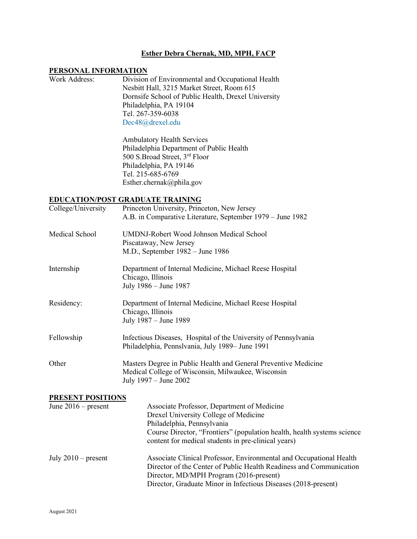## **Esther Debra Chernak, MD, MPH, FACP**

## **PERSONAL INFORMATION**

| Work Address: | Division of Environmental and Occupational Health   |
|---------------|-----------------------------------------------------|
|               | Nesbitt Hall, 3215 Market Street, Room 615          |
|               | Dornsife School of Public Health, Drexel University |
|               | Philadelphia, PA 19104                              |
|               | Tel. 267-359-6038                                   |
|               | Dec48@drexel.edu                                    |
|               |                                                     |

Ambulatory Health Services Philadelphia Department of Public Health 500 S.Broad Street, 3rd Floor Philadelphia, PA 19146 Tel. 215-685-6769 Esther.chernak@phila.gov

## **EDUCATION/POST GRADUATE TRAINING**

| College/University    | Princeton University, Princeton, New Jersey<br>A.B. in Comparative Literature, September 1979 – June 1982                                                                                                                                            |  |
|-----------------------|------------------------------------------------------------------------------------------------------------------------------------------------------------------------------------------------------------------------------------------------------|--|
| Medical School        | UMDNJ-Robert Wood Johnson Medical School<br>Piscataway, New Jersey<br>M.D., September 1982 – June 1986                                                                                                                                               |  |
| Internship            | Department of Internal Medicine, Michael Reese Hospital<br>Chicago, Illinois<br>July 1986 - June 1987                                                                                                                                                |  |
| Residency:            | Department of Internal Medicine, Michael Reese Hospital<br>Chicago, Illinois<br>July 1987 – June 1989                                                                                                                                                |  |
| Fellowship            | Infectious Diseases, Hospital of the University of Pennsylvania<br>Philadelphia, Pennslvania, July 1989– June 1991                                                                                                                                   |  |
| Other                 | Masters Degree in Public Health and General Preventive Medicine<br>Medical College of Wisconsin, Milwaukee, Wisconsin<br>July 1997 - June 2002                                                                                                       |  |
| PRESENT POSITIONS     |                                                                                                                                                                                                                                                      |  |
| June $2016$ – present | Associate Professor, Department of Medicine<br>Drexel University College of Medicine<br>Philadelphia, Pennsylvania<br>Course Director, "Frontiers" (population health, health systems science<br>content for medical students in pre-clinical years) |  |
| July $2010$ – present | Associate Clinical Professor, Environmental and Occupational Health<br>Director of the Center of Public Health Readiness and Communication<br>Director, MD/MPH Program (2016-present)                                                                |  |

Director, Graduate Minor in Infectious Diseases (2018-present)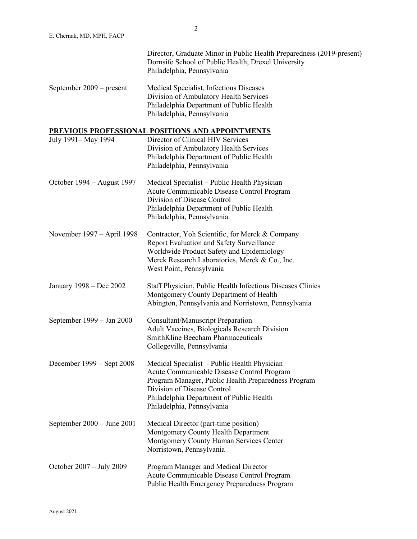|                                | Director, Graduate Minor in Public Health Preparedness (2019-present)<br>Dornsife School of Public Health, Drexel University<br>Philadelphia, Pennsylvania                                                                                                 |
|--------------------------------|------------------------------------------------------------------------------------------------------------------------------------------------------------------------------------------------------------------------------------------------------------|
| September 2009 – present       | Medical Specialist, Infectious Diseases<br>Division of Ambulatory Health Services<br>Philadelphia Department of Public Health<br>Philadelphia, Pennsylvania                                                                                                |
|                                | PREVIOUS PROFESSIONAL POSITIONS AND APPOINTMENTS                                                                                                                                                                                                           |
| July 1991-May 1994             | Director of Clinical HIV Services<br>Division of Ambulatory Health Services<br>Philadelphia Department of Public Health<br>Philadelphia, Pennsylvania                                                                                                      |
| October 1994 – August 1997     | Medical Specialist – Public Health Physician<br>Acute Communicable Disease Control Program<br>Division of Disease Control<br>Philadelphia Department of Public Health<br>Philadelphia, Pennsylvania                                                        |
| November 1997 – April 1998     | Contractor, Yoh Scientific, for Merck & Company<br>Report Evaluation and Safety Surveillance<br>Worldwide Product Safety and Epidemiology<br>Merck Research Laboratories, Merck & Co., Inc.<br>West Point, Pennsylvania                                    |
| January 1998 – Dec 2002        | Staff Physician, Public Health Infectious Diseases Clinics<br>Montgomery County Department of Health<br>Abington, Pennsylvania and Norristown, Pennsylvania                                                                                                |
| September 1999 – Jan 2000      | <b>Consultant/Manuscript Preparation</b><br>Adult Vaccines, Biologicals Research Division<br>SmithKline Beecham Pharmaceuticals<br>Collegeville, Pennsylvania                                                                                              |
| December 1999 – Sept 2008      | Medical Specialist - Public Health Physician<br>Acute Communicable Disease Control Program<br>Program Manager, Public Health Preparedness Program<br>Division of Disease Control<br>Philadelphia Department of Public Health<br>Philadelphia, Pennsylvania |
| September $2000 -$ June $2001$ | Medical Director (part-time position)<br>Montgomery County Health Department<br>Montgomery County Human Services Center<br>Norristown, Pennsylvania                                                                                                        |
| October 2007 – July 2009       | Program Manager and Medical Director<br>Acute Communicable Disease Control Program<br>Public Health Emergency Preparedness Program                                                                                                                         |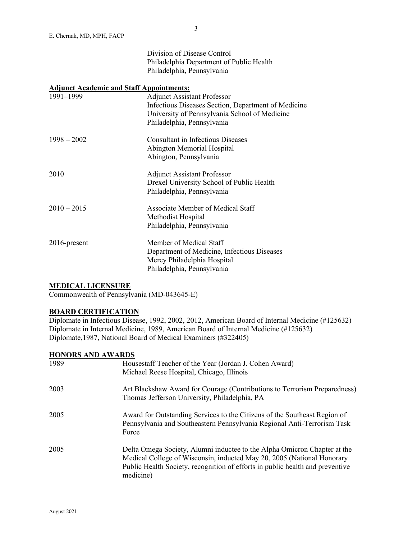|               | Division of Disease Control                         |
|---------------|-----------------------------------------------------|
|               | Philadelphia Department of Public Health            |
|               | Philadelphia, Pennsylvania                          |
|               | <b>Adjunct Academic and Staff Appointments:</b>     |
| 1991-1999     | <b>Adjunct Assistant Professor</b>                  |
|               | Infectious Diseases Section, Department of Medicine |
|               | University of Pennsylvania School of Medicine       |
|               | Philadelphia, Pennsylvania                          |
| $1998 - 2002$ | <b>Consultant in Infectious Diseases</b>            |
|               | Abington Memorial Hospital                          |
|               | Abington, Pennsylvania                              |
| 2010          | <b>Adjunct Assistant Professor</b>                  |
|               | Drexel University School of Public Health           |
|               | Philadelphia, Pennsylvania                          |
| $2010 - 2015$ | Associate Member of Medical Staff                   |
|               | Methodist Hospital                                  |
|               | Philadelphia, Pennsylvania                          |
| 2016-present  | Member of Medical Staff                             |
|               | Department of Medicine, Infectious Diseases         |
|               | Mercy Philadelphia Hospital                         |
|               | Philadelphia, Pennsylvania                          |

# **MEDICAL LICENSURE**

Commonwealth of Pennsylvania (MD-043645-E)

## **BOARD CERTIFICATION**

Diplomate in Infectious Disease, 1992, 2002, 2012, American Board of Internal Medicine (#125632) Diplomate in Internal Medicine, 1989, American Board of Internal Medicine (#125632) Diplomate,1987, National Board of Medical Examiners (#322405)

## **HONORS AND AWARDS**

| 1989 | Housestaff Teacher of the Year (Jordan J. Cohen Award)<br>Michael Reese Hospital, Chicago, Illinois                                                                                                                                              |
|------|--------------------------------------------------------------------------------------------------------------------------------------------------------------------------------------------------------------------------------------------------|
| 2003 | Art Blackshaw Award for Courage (Contributions to Terrorism Preparedness)<br>Thomas Jefferson University, Philadelphia, PA                                                                                                                       |
| 2005 | Award for Outstanding Services to the Citizens of the Southeast Region of<br>Pennsylvania and Southeastern Pennsylvania Regional Anti-Terrorism Task<br>Force                                                                                    |
| 2005 | Delta Omega Society, Alumni inductee to the Alpha Omicron Chapter at the<br>Medical College of Wisconsin, inducted May 20, 2005 (National Honorary<br>Public Health Society, recognition of efforts in public health and preventive<br>medicine) |

3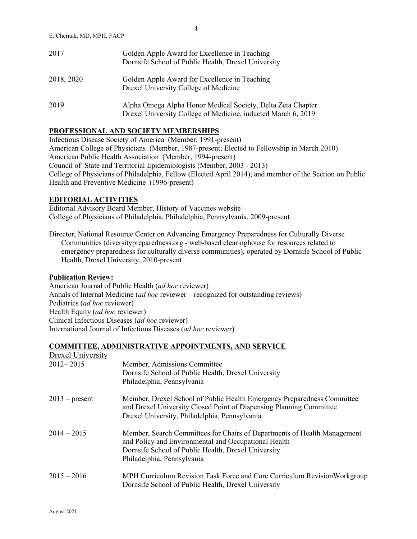| 2017       | Golden Apple Award for Excellence in Teaching<br>Dornsife School of Public Health, Drexel University                         |
|------------|------------------------------------------------------------------------------------------------------------------------------|
| 2018, 2020 | Golden Apple Award for Excellence in Teaching<br>Drexel University College of Medicine                                       |
| 2019       | Alpha Omega Alpha Honor Medical Society, Delta Zeta Chapter<br>Drexel University College of Medicine, inducted March 6, 2019 |

# **PROFESSIONAL AND SOCIETY MEMBERSHIPS**

Infectious Disease Society of America (Member, 1991-present) American College of Physicians (Member, 1987-present; Elected to Fellowship in March 2010) American Public Health Association (Member, 1994-present) Council of State and Territorial Epidemiologists (Member, 2003 - 2013) College of Physicians of Philadelphia, Fellow (Elected April 2014), and member of the Section on Public Health and Preventive Medicine (1996-present)

## **EDITORIAL ACTIVITIES**

Editorial Advisory Board Member, History of Vaccines website College of Physicians of Philadelphia, Philadelphia, Pennsylvania, 2009-present

Director, National Resource Center on Advancing Emergency Preparedness for Culturally Diverse Communities (diversitypreparedness.org - web-based clearinghouse for resources related to emergency preparedness for culturally diverse communities), operated by Dornsife School of Public Health, Drexel University, 2010-present

#### **Publication Review:**

American Journal of Public Health (*ad hoc* reviewer) Annals of Internal Medicine (*ad hoc* reviewer – recognized for outstanding reviews) Pediatrics (*ad hoc* reviewer) Health Equity (*ad hoc* reviewer) Clinical Infectious Diseases (*ad hoc* reviewer) International Journal of Infectious Diseases (*ad hoc* reviewer)

#### **COMMITTEE, ADMINISTRATIVE APPOINTMENTS, AND SERVICE**

| Drexel University |                                                                           |
|-------------------|---------------------------------------------------------------------------|
| $2012 - 2015$     | Member, Admissions Committee                                              |
|                   | Dornsife School of Public Health, Drexel University                       |
|                   | Philadelphia, Pennsylvania                                                |
| $2013$ – present  | Member, Drexel School of Public Health Emergency Preparedness Committee   |
|                   | and Drexel University Closed Point of Dispensing Planning Committee       |
|                   | Drexel University, Philadelphia, Pennsylvania                             |
| $2014 - 2015$     | Member, Search Committees for Chairs of Departments of Health Management  |
|                   | and Policy and Environmental and Occupational Health                      |
|                   | Dornsife School of Public Health, Drexel University                       |
|                   | Philadelphia, Pennsylvania                                                |
| $2015 - 2016$     | MPH Curriculum Revision Task Force and Core Curriculum Revision Workgroup |
|                   | Dornsife School of Public Health, Drexel University                       |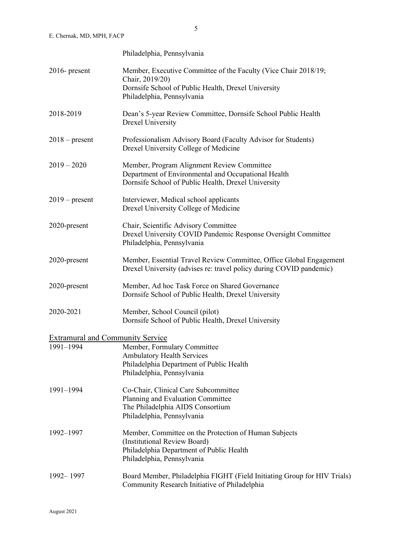|                                                      | Philadelphia, Pennsylvania                                                                                                                                              |
|------------------------------------------------------|-------------------------------------------------------------------------------------------------------------------------------------------------------------------------|
| $2016$ - present                                     | Member, Executive Committee of the Faculty (Vice Chair 2018/19;<br>Chair, 2019/20)<br>Dornsife School of Public Health, Drexel University<br>Philadelphia, Pennsylvania |
| 2018-2019                                            | Dean's 5-year Review Committee, Dornsife School Public Health<br><b>Drexel University</b>                                                                               |
| $2018$ – present                                     | Professionalism Advisory Board (Faculty Advisor for Students)<br>Drexel University College of Medicine                                                                  |
| $2019 - 2020$                                        | Member, Program Alignment Review Committee<br>Department of Environmental and Occupational Health<br>Dornsife School of Public Health, Drexel University                |
| $2019$ – present                                     | Interviewer, Medical school applicants<br>Drexel University College of Medicine                                                                                         |
| 2020-present                                         | Chair, Scientific Advisory Committee<br>Drexel University COVID Pandemic Response Oversight Committee<br>Philadelphia, Pennsylvania                                     |
| 2020-present                                         | Member, Essential Travel Review Committee, Office Global Engagement<br>Drexel University (advises re: travel policy during COVID pandemic)                              |
| 2020-present                                         | Member, Ad hoc Task Force on Shared Governance<br>Dornsife School of Public Health, Drexel University                                                                   |
| 2020-2021                                            | Member, School Council (pilot)<br>Dornsife School of Public Health, Drexel University                                                                                   |
| <b>Extramural and Community Service</b><br>1991-1994 | Member, Formulary Committee<br><b>Ambulatory Health Services</b><br>Philadelphia Department of Public Health<br>Philadelphia, Pennsylvania                              |
| 1991-1994                                            | Co-Chair, Clinical Care Subcommittee<br>Planning and Evaluation Committee<br>The Philadelphia AIDS Consortium<br>Philadelphia, Pennsylvania                             |
| 1992-1997                                            | Member, Committee on the Protection of Human Subjects<br>(Institutional Review Board)<br>Philadelphia Department of Public Health<br>Philadelphia, Pennsylvania         |
| 1992 - 1997                                          | Board Member, Philadelphia FIGHT (Field Initiating Group for HIV Trials)<br>Community Research Initiative of Philadelphia                                               |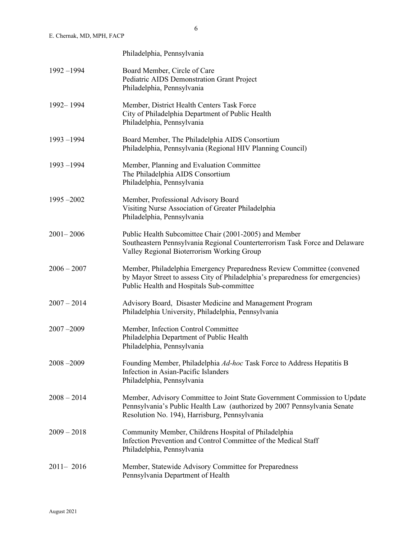|               | Philadelphia, Pennsylvania                                                                                                                                                                             |
|---------------|--------------------------------------------------------------------------------------------------------------------------------------------------------------------------------------------------------|
| $1992 - 1994$ | Board Member, Circle of Care<br>Pediatric AIDS Demonstration Grant Project<br>Philadelphia, Pennsylvania                                                                                               |
| 1992-1994     | Member, District Health Centers Task Force<br>City of Philadelphia Department of Public Health<br>Philadelphia, Pennsylvania                                                                           |
| $1993 - 1994$ | Board Member, The Philadelphia AIDS Consortium<br>Philadelphia, Pennsylvania (Regional HIV Planning Council)                                                                                           |
| $1993 - 1994$ | Member, Planning and Evaluation Committee<br>The Philadelphia AIDS Consortium<br>Philadelphia, Pennsylvania                                                                                            |
| $1995 - 2002$ | Member, Professional Advisory Board<br>Visiting Nurse Association of Greater Philadelphia<br>Philadelphia, Pennsylvania                                                                                |
| $2001 - 2006$ | Public Health Subcomittee Chair (2001-2005) and Member<br>Southeastern Pennsylvania Regional Counterterrorism Task Force and Delaware<br>Valley Regional Bioterrorism Working Group                    |
| $2006 - 2007$ | Member, Philadelphia Emergency Preparedness Review Committee (convened<br>by Mayor Street to assess City of Philadelphia's preparedness for emergencies)<br>Public Health and Hospitals Sub-committee  |
| $2007 - 2014$ | Advisory Board, Disaster Medicine and Management Program<br>Philadelphia University, Philadelphia, Pennsylvania                                                                                        |
| $2007 - 2009$ | Member, Infection Control Committee<br>Philadelphia Department of Public Health<br>Philadelphia, Pennsylvania                                                                                          |
| $2008 - 2009$ | Founding Member, Philadelphia Ad-hoc Task Force to Address Hepatitis B<br>Infection in Asian-Pacific Islanders<br>Philadelphia, Pennsylvania                                                           |
| $2008 - 2014$ | Member, Advisory Committee to Joint State Government Commission to Update<br>Pennsylvania's Public Health Law (authorized by 2007 Pennsylvania Senate<br>Resolution No. 194), Harrisburg, Pennsylvania |
| $2009 - 2018$ | Community Member, Childrens Hospital of Philadelphia<br>Infection Prevention and Control Committee of the Medical Staff<br>Philadelphia, Pennsylvania                                                  |
| $2011 - 2016$ | Member, Statewide Advisory Committee for Preparedness<br>Pennsylvania Department of Health                                                                                                             |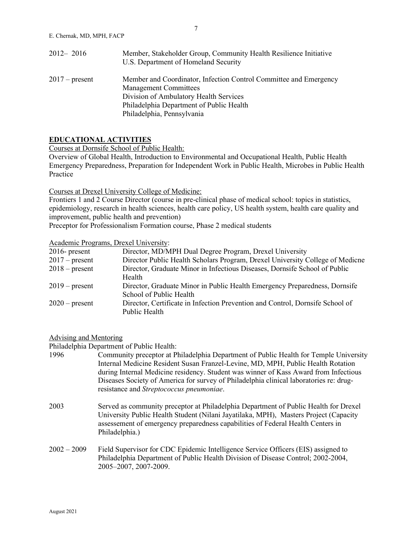| $2012 - 2016$    | Member, Stakeholder Group, Community Health Resilience Initiative<br>U.S. Department of Homeland Security |
|------------------|-----------------------------------------------------------------------------------------------------------|
| $2017$ – present | Member and Coordinator, Infection Control Committee and Emergency<br><b>Management Committees</b>         |
|                  | Division of Ambulatory Health Services                                                                    |
|                  | Philadelphia Department of Public Health                                                                  |
|                  | Philadelphia, Pennsylvania                                                                                |

#### **EDUCATIONAL ACTIVITIES**

Courses at Dornsife School of Public Health:

Overview of Global Health, Introduction to Environmental and Occupational Health, Public Health Emergency Preparedness, Preparation for Independent Work in Public Health, Microbes in Public Health Practice

#### Courses at Drexel University College of Medicine:

Frontiers 1 and 2 Course Director (course in pre-clinical phase of medical school: topics in statistics, epidemiology, research in health sciences, health care policy, US health system, health care quality and improvement, public health and prevention)

Preceptor for Professionalism Formation course, Phase 2 medical students

## Academic Programs, Drexel University:

| $2016$ - present | Director, MD/MPH Dual Degree Program, Drexel University                       |
|------------------|-------------------------------------------------------------------------------|
| $2017$ – present | Director Public Health Scholars Program, Drexel University College of Medicne |
| $2018$ – present | Director, Graduate Minor in Infectious Diseases, Dornsife School of Public    |
|                  | Health                                                                        |
| $2019$ – present | Director, Graduate Minor in Public Health Emergency Preparedness, Dornsife    |
|                  | School of Public Health                                                       |
| $2020$ – present | Director, Certificate in Infection Prevention and Control, Dornsife School of |
|                  | Public Health                                                                 |

# Advising and Mentoring

Philadelphia Department of Public Health:

| 1996          | Community preceptor at Philadelphia Department of Public Health for Temple University<br>Internal Medicine Resident Susan Franzel-Levine, MD, MPH, Public Health Rotation<br>during Internal Medicine residency. Student was winner of Kass Award from Infectious<br>Diseases Society of America for survey of Philadelphia clinical laboratories re: drug-<br>resistance and Streptococcus pneumoniae. |
|---------------|---------------------------------------------------------------------------------------------------------------------------------------------------------------------------------------------------------------------------------------------------------------------------------------------------------------------------------------------------------------------------------------------------------|
| 2003          | Served as community preceptor at Philadelphia Department of Public Health for Drexel<br>University Public Health Student (Nilani Jayatilaka, MPH), Masters Project (Capacity<br>assessement of emergency preparedness capabilities of Federal Health Centers in<br>Philadelphia.)                                                                                                                       |
| $2002 - 2009$ | Field Supervisor for CDC Epidemic Intelligence Service Officers (EIS) assigned to<br>Philadelphia Department of Public Health Division of Disease Control; 2002-2004,<br>2005-2007, 2007-2009.                                                                                                                                                                                                          |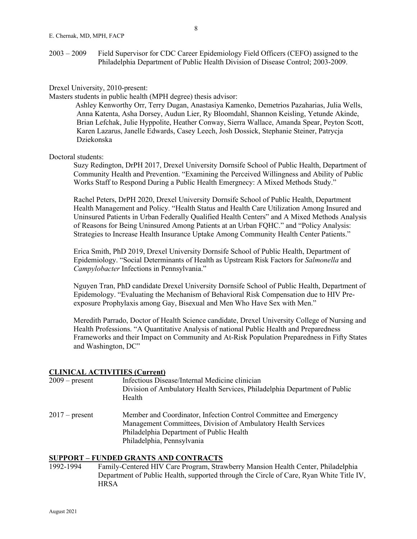#### Drexel University, 2010-present:

Masters students in public health (MPH degree) thesis advisor:

Ashley Kenworthy Orr, Terry Dugan, Anastasiya Kamenko, Demetrios Pazaharias, Julia Wells, Anna Katenta, Asha Dorsey, Audun Lier, Ry Bloomdahl, Shannon Keisling, Yetunde Akinde, Brian Lefchak, Julie Hyppolite, Heather Conway, Sierra Wallace, Amanda Spear, Peyton Scott, Karen Lazarus, Janelle Edwards, Casey Leech, Josh Dossick, Stephanie Steiner, Patrycja Dziekonska

#### Doctoral students:

Suzy Redington, DrPH 2017, Drexel University Dornsife School of Public Health, Department of Community Health and Prevention. "Examining the Perceived Willingness and Ability of Public Works Staff to Respond During a Public Health Emergnecy: A Mixed Methods Study."

Rachel Peters, DrPH 2020, Drexel University Dornsife School of Public Health, Department Health Management and Policy. "Health Status and Health Care Utilization Among Insured and Uninsured Patients in Urban Federally Qualified Health Centers" and A Mixed Methods Analysis of Reasons for Being Uninsured Among Patients at an Urban FQHC." and "Policy Analysis: Strategies to Increase Health Insurance Uptake Among Community Health Center Patients."

Erica Smith, PhD 2019, Drexel University Dornsife School of Public Health, Department of Epidemiology. "Social Determinants of Health as Upstream Risk Factors for *Salmonella* and *Campylobacter* Infections in Pennsylvania."

Nguyen Tran, PhD candidate Drexel University Dornsife School of Public Health, Department of Epidemology. "Evaluating the Mechanism of Behavioral Risk Compensation due to HIV Preexposure Prophylaxis among Gay, Bisexual and Men Who Have Sex with Men."

Meredith Parrado, Doctor of Health Science candidate, Drexel University College of Nursing and Health Professions. "A Quantitative Analysis of national Public Health and Preparedness Frameworks and their Impact on Community and At-Risk Population Preparedness in Fifty States and Washington, DC"

# **CLINICAL ACTIVITIES (Current)**

| $2009 - present$ | Infectious Disease/Internal Medicine clinician<br>Division of Ambulatory Health Services, Philadelphia Department of Public<br>Health                                                                        |
|------------------|--------------------------------------------------------------------------------------------------------------------------------------------------------------------------------------------------------------|
| $2017$ – present | Member and Coordinator, Infection Control Committee and Emergency<br>Management Committees, Division of Ambulatory Health Services<br>Philadelphia Department of Public Health<br>Philadelphia, Pennsylvania |

#### **SUPPORT – FUNDED GRANTS AND CONTRACTS**

1992-1994 Family-Centered HIV Care Program, Strawberry Mansion Health Center, Philadelphia Department of Public Health, supported through the Circle of Care, Ryan White Title IV, **HRSA**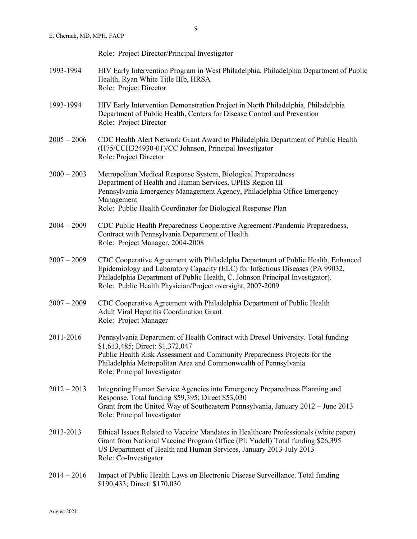|               | Role: Project Director/Principal Investigator                                                                                                                                                                                                                                                                    |
|---------------|------------------------------------------------------------------------------------------------------------------------------------------------------------------------------------------------------------------------------------------------------------------------------------------------------------------|
| 1993-1994     | HIV Early Intervention Program in West Philadelphia, Philadelphia Department of Public<br>Health, Ryan White Title IIIb, HRSA<br>Role: Project Director                                                                                                                                                          |
| 1993-1994     | HIV Early Intervention Demonstration Project in North Philadelphia, Philadelphia<br>Department of Public Health, Centers for Disease Control and Prevention<br>Role: Project Director                                                                                                                            |
| $2005 - 2006$ | CDC Health Alert Network Grant Award to Philadelphia Department of Public Health<br>(H75/CCH324930-01)/CC Johnson, Principal Investigator<br>Role: Project Director                                                                                                                                              |
| $2000 - 2003$ | Metropolitan Medical Response System, Biological Preparedness<br>Department of Health and Human Services, UPHS Region III<br>Pennsylvania Emergency Management Agency, Philadelphia Office Emergency<br>Management<br>Role: Public Health Coordinator for Biological Response Plan                               |
| $2004 - 2009$ | CDC Public Health Preparedness Cooperative Agreement /Pandemic Preparedness,<br>Contract with Pennsylvania Department of Health<br>Role: Project Manager, 2004-2008                                                                                                                                              |
| $2007 - 2009$ | CDC Cooperative Agreement with Philadelpha Department of Public Health, Enhanced<br>Epidemiology and Laboratory Capacity (ELC) for Infectious Diseases (PA 99032,<br>Philadelphia Department of Public Health, C. Johnson Principal Investigator).<br>Role: Public Health Physician/Project oversight, 2007-2009 |
| $2007 - 2009$ | CDC Cooperative Agreement with Philadelphia Department of Public Health<br>Adult Viral Hepatitis Coordination Grant<br>Role: Project Manager                                                                                                                                                                     |
| 2011-2016     | Pennsylvania Department of Health Contract with Drexel University. Total funding<br>\$1,613,485; Direct: \$1,372,047<br>Public Health Risk Assessment and Community Preparedness Projects for the<br>Philadelphia Metropolitan Area and Commonwealth of Pennsylvania<br>Role: Principal Investigator             |
| $2012 - 2013$ | Integrating Human Service Agencies into Emergency Preparedness Planning and<br>Response. Total funding \$59,395; Direct \$53,030<br>Grant from the United Way of Southeastern Pennsylvania, January 2012 – June 2013<br>Role: Principal Investigator                                                             |
| 2013-2013     | Ethical Issues Related to Vaccine Mandates in Healthcare Professionals (white paper)<br>Grant from National Vaccine Program Office (PI: Yudell) Total funding \$26,395<br>US Department of Health and Human Services, January 2013-July 2013<br>Role: Co-Investigator                                            |
| $2014 - 2016$ | Impact of Public Health Laws on Electronic Disease Surveillance. Total funding<br>\$190,433; Direct: \$170,030                                                                                                                                                                                                   |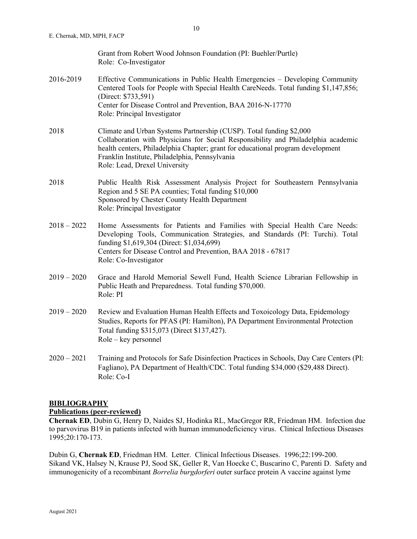|               | Grant from Robert Wood Johnson Foundation (PI: Buehler/Purtle)<br>Role: Co-Investigator                                                                                                                                                                                                                                        |
|---------------|--------------------------------------------------------------------------------------------------------------------------------------------------------------------------------------------------------------------------------------------------------------------------------------------------------------------------------|
| 2016-2019     | Effective Communications in Public Health Emergencies – Developing Community<br>Centered Tools for People with Special Health CareNeeds. Total funding \$1,147,856;<br>(Direct: \$733,591)<br>Center for Disease Control and Prevention, BAA 2016-N-17770<br>Role: Principal Investigator                                      |
| 2018          | Climate and Urban Systems Partnership (CUSP). Total funding \$2,000<br>Collaboration with Physicians for Social Responsibility and Philadelphia academic<br>health centers, Philadelphia Chapter; grant for educational program development<br>Franklin Institute, Philadelphia, Pennsylvania<br>Role: Lead, Drexel University |
| 2018          | Public Health Risk Assessment Analysis Project for Southeastern Pennsylvania<br>Region and 5 SE PA counties; Total funding \$10,000<br>Sponsored by Chester County Health Department<br>Role: Principal Investigator                                                                                                           |
| $2018 - 2022$ | Home Assessments for Patients and Families with Special Health Care Needs:<br>Developing Tools, Communication Strategies, and Standards (PI: Turchi). Total<br>funding \$1,619,304 (Direct: \$1,034,699)<br>Centers for Disease Control and Prevention, BAA 2018 - 67817<br>Role: Co-Investigator                              |
| $2019 - 2020$ | Grace and Harold Memorial Sewell Fund, Health Science Librarian Fellowship in<br>Public Heath and Preparedness. Total funding \$70,000.<br>Role: PI                                                                                                                                                                            |
| $2019 - 2020$ | Review and Evaluation Human Health Effects and Toxoicology Data, Epidemology<br>Studies, Reports for PFAS (PI: Hamilton), PA Department Environmental Protection<br>Total funding \$315,073 (Direct \$137,427).<br>Role - key personnel                                                                                        |
| $2020 - 2021$ | Training and Protocols for Safe Disinfection Practices in Schools, Day Care Centers (PI:<br>Fagliano), PA Department of Health/CDC. Total funding \$34,000 (\$29,488 Direct).                                                                                                                                                  |

# **BIBLIOGRAPHY**

## **Publications (peer-reviewed)**

Role: Co-I

**Chernak ED**, Dubin G, Henry D, Naides SJ, Hodinka RL, MacGregor RR, Friedman HM. Infection due to parvovirus B19 in patients infected with human immunodeficiency virus. Clinical Infectious Diseases 1995;20:170-173.

Dubin G, **Chernak ED**, Friedman HM. Letter. Clinical Infectious Diseases. 1996;22:199-200. Sikand VK, Halsey N, Krause PJ, Sood SK, Geller R, Van Hoecke C, Buscarino C, Parenti D. Safety and immunogenicity of a recombinant *Borrelia burgdorferi* outer surface protein A vaccine against lyme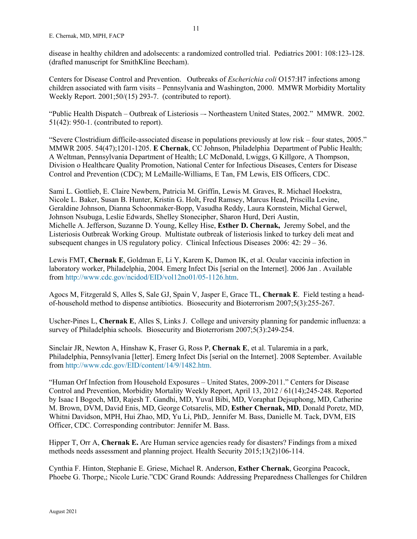disease in healthy children and adolsecents: a randomized controlled trial. Pediatrics 2001: 108:123-128. (drafted manuscript for SmithKline Beecham).

Centers for Disease Control and Prevention. Outbreaks of *Escherichia coli* O157:H7 infections among children associated with farm visits – Pennsylvania and Washington, 2000. MMWR Morbidity Mortality Weekly Report. 2001;50/(15) 293-7. (contributed to report).

"Public Health Dispatch – Outbreak of Listeriosis –- Northeastern United States, 2002." MMWR. 2002. 51(42): 950-1. (contributed to report).

"Severe Clostridium difficile-associated disease in populations previously at low risk – four states, 2005." MMWR 2005. 54(47);1201-1205. **E Chernak**, CC Johnson, Philadelphia Department of Public Health; A Weltman, Pennsylvania Department of Health; LC McDonald, Lwiggs, G Killgore, A Thompson, Division o Healthcare Quality Promotion, National Center for Infectious Diseases, Centers for Disease Control and Prevention (CDC); M LeMaille-Williams, E Tan, FM Lewis, EIS Officers, CDC.

Sami L. Gottlieb, E. Claire Newbern, Patricia M. Griffin, Lewis M. Graves, R. Michael Hoekstra, Nicole L. Baker, Susan B. Hunter, Kristin G. Holt, Fred Ramsey, Marcus Head, Priscilla Levine, Geraldine Johnson, Dianna Schoonmaker-Bopp, Vasudha Reddy, Laura Kornstein, Michal Gerwel, Johnson Nsubuga, Leslie Edwards, Shelley Stonecipher, Sharon Hurd, Deri Austin, Michelle A. Jefferson, Suzanne D. Young, Kelley Hise, **Esther D. Chernak,** Jeremy Sobel, and the Listeriosis Outbreak Working Group. Multistate outbreak of listeriosis linked to turkey deli meat and subsequent changes in US regulatory policy. Clinical Infectious Diseases 2006: 42: 29 – 36.

Lewis FMT, **Chernak E**, Goldman E, Li Y, Karem K, Damon IK, et al. Ocular vaccinia infection in laboratory worker, Philadelphia, 2004. Emerg Infect Dis [serial on the Internet]. 2006 Jan . Available from [http://www.cdc.gov/ncidod/EID/vol12no01/05-1126.htm.](http://www.cdc.gov/ncidod/EID/vol12no01/05-1126.htm)

Agocs M, Fitzgerald S, Alles S, Sale GJ, Spain V, Jasper E, Grace TL, **Chernak E**. Field testing a headof-household method to dispense antibiotics. Biosecurity and Bioterrorism 2007;5(3):255-267.

Uscher-Pines L, **Chernak E**, Alles S, Links J. College and university planning for pandemic influenza: a survey of Philadelphia schools. Biosecurity and Bioterrorism 2007;5(3):249-254.

Sinclair JR, Newton A, Hinshaw K, Fraser G, Ross P, **Chernak E**, et al. Tularemia in a park, Philadelphia, Pennsylvania [letter]. Emerg Infect Dis [serial on the Internet]. 2008 September. Available from [http://www.cdc.gov/EID/content/14/9/1482.htm.](http://www.cdc.gov/EID/content/14/9/1482.htm)

"Human Orf Infection from Household Exposures – United States, 2009-2011." Centers for Disease Control and Prevention, Morbidity Mortality Weekly Report, April 13, 2012 / 61(14);245-248. Reported by Isaac I Bogoch, MD, Rajesh T. Gandhi, MD, Yuval Bibi, MD, Voraphat Dejsuphong, MD, Catherine M. Brown, DVM, David Enis, MD, George Cotsarelis, MD, **Esther Chernak, MD**, Donald Poretz, MD, Whitni Davidson, MPH, Hui Zhao, MD, Yu Li, PhD,. Jennifer M. Bass, Danielle M. Tack, DVM, EIS Officer, CDC. Corresponding contributor: Jennifer M. Bass.

Hipper T, Orr A, **Chernak E.** Are Human service agencies ready for disasters? Findings from a mixed methods needs assessment and planning project. Health Security 2015;13(2)106-114.

Cynthia F. Hinton, Stephanie E. Griese, Michael R. Anderson, **Esther Chernak**, Georgina Peacock, Phoebe G. Thorpe,; Nicole Lurie."CDC Grand Rounds: Addressing Preparedness Challenges for Children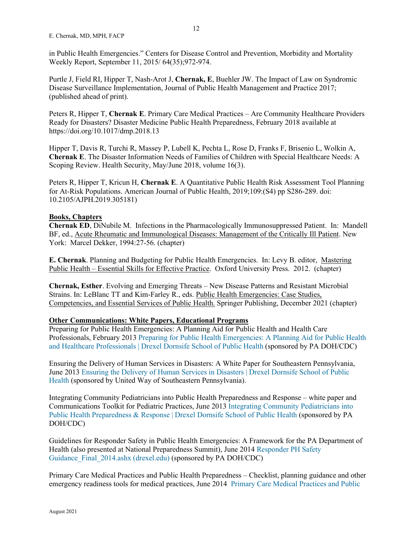in Public Health Emergencies." Centers for Disease Control and Prevention, Morbidity and Mortality Weekly Report, September 11, 2015/ 64(35);972-974.

Purtle J, Field RI, Hipper T, Nash-Arot J, **Chernak, E**, Buehler JW. The Impact of Law on Syndromic Disease Surveillance Implementation, Journal of Public Health Management and Practice 2017; (published ahead of print).

Peters R, Hipper T, **Chernak E**. Primary Care Medical Practices – Are Community Healthcare Providers Ready for Disasters? Disaster Medicine Public Health Preparedness, February 2018 available at https://doi.org/10.1017/dmp.2018.13

Hipper T, Davis R, Turchi R, Massey P, Lubell K, Pechta L, Rose D, Franks F, Brisenio L, Wolkin A, **Chernak E**. The Disaster Information Needs of Families of Children with Special Healthcare Needs: A Scoping Review. Health Security, May/June 2018, volume 16(3).

Peters R, Hipper T, Kricun H, **Chernak E**. A Quantitative Public Health Risk Assessment Tool Planning for At-Risk Populations. American Journal of Public Health, 2019;109:(S4) pp S286-289. doi: 10.2105/AJPH.2019.305181)

# **Books, Chapters**

**Chernak ED**, DiNubile M. Infections in the Pharmacologically Immunosuppressed Patient. In: Mandell BF, ed., Acute Rheumatic and Immunological Diseases: Management of the Critically Ill Patient. New York: Marcel Dekker, 1994:27-56. (chapter)

**E. Chernak**. Planning and Budgeting for Public Health Emergencies. In: Levy B. editor, Mastering Public Health – Essential Skills for Effective Practice. Oxford University Press. 2012. (chapter)

**Chernak, Esther**. Evolving and Emerging Threats – New Disease Patterns and Resistant Microbial Strains. In: LeBlanc TT and Kim-Farley R., eds. Public Health Emergencies: Case Studies, Competencies, and Essential Services of Public Health. Springer Publishing, December 2021 (chapter)

# **Other Communications: White Papers, Educational Programs**

Preparing for Public Health Emergencies: A Planning Aid for Public Health and Health Care Professionals, February 2013 [Preparing for Public Health Emergencies: A Planning Aid for Public Health](https://drexel.edu/dornsife/research/centers-programs-projects/center-for-public-health-readiness-communication/our-projects/planning-aid/)  [and Healthcare Professionals | Drexel Dornsife School of Public Health](https://drexel.edu/dornsife/research/centers-programs-projects/center-for-public-health-readiness-communication/our-projects/planning-aid/) (sponsored by PA DOH/CDC)

Ensuring the Delivery of Human Services in Disasters: A White Paper for Southeastern Pennsylvania, June 201[3 Ensuring the Delivery of Human Services in Disasters | Drexel Dornsife School of Public](https://drexel.edu/dornsife/research/centers-programs-projects/center-for-public-health-readiness-communication/our-projects/hsa-resources/)  [Health](https://drexel.edu/dornsife/research/centers-programs-projects/center-for-public-health-readiness-communication/our-projects/hsa-resources/) (sponsored by United Way of Southeastern Pennsylvania).

Integrating Community Pediatricians into Public Health Preparedness and Response – white paper and Communications Toolkit for Pediatric Practices, June 2013 [Integrating Community Pediatricians into](https://drexel.edu/dornsife/research/centers-programs-projects/center-for-public-health-readiness-communication/our-projects/peds-resources/)  [Public Health Preparedness & Response | Drexel Dornsife School of Public Health](https://drexel.edu/dornsife/research/centers-programs-projects/center-for-public-health-readiness-communication/our-projects/peds-resources/) (sponsored by PA DOH/CDC)

Guidelines for Responder Safety in Public Health Emergencies: A Framework for the PA Department of Health (also presented at National Preparedness Summit), June 2014 [Responder PH Safety](https://drexel.edu/%7E/media/Files/dornsife/CPHRC/Responder%20PH%20Safety%20Guidance_Final_2014.ashx?la=en)  [Guidance\\_Final\\_2014.ashx \(drexel.edu\)](https://drexel.edu/%7E/media/Files/dornsife/CPHRC/Responder%20PH%20Safety%20Guidance_Final_2014.ashx?la=en) (sponsored by PA DOH/CDC)

Primary Care Medical Practices and Public Health Preparedness – Checklist, planning guidance and other emergency readiness tools for medical practices, June 2014 [Primary Care Medical Practices](https://drexel.edu/dornsife/research/centers-programs-projects/center-for-public-health-readiness-communication/our-projects/pcp-resources/) and Public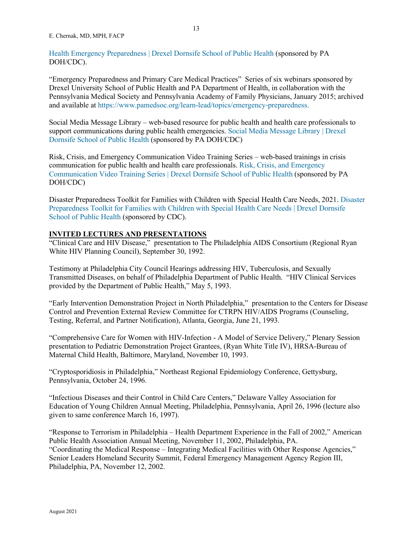E. Chernak, MD, MPH, FACP

[Health Emergency Preparedness | Drexel Dornsife School of Public Health](https://drexel.edu/dornsife/research/centers-programs-projects/center-for-public-health-readiness-communication/our-projects/pcp-resources/) (sponsored by PA DOH/CDC).

"Emergency Preparedness and Primary Care Medical Practices" Series of six webinars sponsored by Drexel University School of Public Health and PA Department of Health, in collaboration with the Pennsylvania Medical Society and Pennsylvania Academy of Family Physicians, January 2015; archived and available at [https://www.pamedsoc.org/learn-lead/topics/emergency-preparedness.](https://www.pamedsoc.org/learn-lead/topics/emergency-preparedness)

Social Media Message Library – web-based resource for public health and health care professionals to support communications during public health emergencies. [Social Media Message Library | Drexel](https://drexel.edu/dornsife/research/centers-programs-projects/center-for-public-health-readiness-communication/social-media-library/)  [Dornsife School of Public Health](https://drexel.edu/dornsife/research/centers-programs-projects/center-for-public-health-readiness-communication/social-media-library/) (sponsored by PA DOH/CDC)

Risk, Crisis, and Emergency Communication Video Training Series – web-based trainings in crisis communication for public health and health care professionals. [Risk, Crisis, and Emergency](https://drexel.edu/dornsife/research/centers-programs-projects/center-for-public-health-readiness-communication/risk-crisis-emergency-video-training-series/)  [Communication Video Training Series | Drexel Dornsife School of Public Health](https://drexel.edu/dornsife/research/centers-programs-projects/center-for-public-health-readiness-communication/risk-crisis-emergency-video-training-series/) (sponsored by PA DOH/CDC)

Disaster Preparedness Toolkit for Families with Children with Special Health Care Needs, 2021. [Disaster](https://drexel.edu/dornsife/research/centers-programs-projects/center-for-public-health-readiness-communication/disaster-preparedness-toolkit/)  [Preparedness Toolkit for Families with Children with Special Health Care Needs | Drexel Dornsife](https://drexel.edu/dornsife/research/centers-programs-projects/center-for-public-health-readiness-communication/disaster-preparedness-toolkit/)  [School of Public Health](https://drexel.edu/dornsife/research/centers-programs-projects/center-for-public-health-readiness-communication/disaster-preparedness-toolkit/) (sponsored by CDC).

## **INVITED LECTURES AND PRESENTATIONS**

"Clinical Care and HIV Disease," presentation to The Philadelphia AIDS Consortium (Regional Ryan White HIV Planning Council), September 30, 1992.

Testimony at Philadelphia City Council Hearings addressing HIV, Tuberculosis, and Sexually Transmitted Diseases, on behalf of Philadelphia Department of Public Health. "HIV Clinical Services provided by the Department of Public Health," May 5, 1993.

"Early Intervention Demonstration Project in North Philadelphia," presentation to the Centers for Disease Control and Prevention External Review Committee for CTRPN HIV/AIDS Programs (Counseling, Testing, Referral, and Partner Notification), Atlanta, Georgia, June 21, 1993.

"Comprehensive Care for Women with HIV-Infection - A Model of Service Delivery," Plenary Session presentation to Pediatric Demonstration Project Grantees, (Ryan White Title IV), HRSA-Bureau of Maternal Child Health, Baltimore, Maryland, November 10, 1993.

"Cryptosporidiosis in Philadelphia," Northeast Regional Epidemiology Conference, Gettysburg, Pennsylvania, October 24, 1996.

"Infectious Diseases and their Control in Child Care Centers," Delaware Valley Association for Education of Young Children Annual Meeting, Philadelphia, Pennsylvania, April 26, 1996 (lecture also given to same conference March 16, 1997).

"Response to Terrorism in Philadelphia – Health Department Experience in the Fall of 2002," American Public Health Association Annual Meeting, November 11, 2002, Philadelphia, PA. "Coordinating the Medical Response – Integrating Medical Facilities with Other Response Agencies," Senior Leaders Homeland Security Summit, Federal Emergency Management Agency Region III, Philadelphia, PA, November 12, 2002.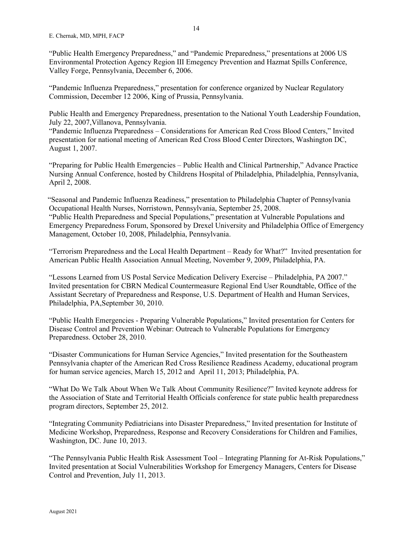"Public Health Emergency Preparedness," and "Pandemic Preparedness," presentations at 2006 US Environmental Protection Agency Region III Emegency Prevention and Hazmat Spills Conference, Valley Forge, Pennsylvania, December 6, 2006.

"Pandemic Influenza Preparedness," presentation for conference organized by Nuclear Regulatory Commission, December 12 2006, King of Prussia, Pennsylvania.

Public Health and Emergency Preparedness, presentation to the National Youth Leadership Foundation, July 22, 2007,Villanova, Pennsylvania.

"Pandemic Influenza Preparedness – Considerations for American Red Cross Blood Centers," Invited presentation for national meeting of American Red Cross Blood Center Directors, Washington DC, August 1, 2007.

"Preparing for Public Health Emergencies – Public Health and Clinical Partnership," Advance Practice Nursing Annual Conference, hosted by Childrens Hospital of Philadelphia, Philadelphia, Pennsylvania, April 2, 2008.

"Seasonal and Pandemic Influenza Readiness," presentation to Philadelphia Chapter of Pennsylvania Occupational Health Nurses, Norristown, Pennsylvania, September 25, 2008. "Public Health Preparedness and Special Populations," presentation at Vulnerable Populations and Emergency Preparedness Forum, Sponsored by Drexel University and Philadelphia Office of Emergency

Management, October 10, 2008, Philadelphia, Pennsylvania.

"Terrorism Preparedness and the Local Health Department – Ready for What?" Invited presentation for American Public Health Association Annual Meeting, November 9, 2009, Philadelphia, PA.

"Lessons Learned from US Postal Service Medication Delivery Exercise – Philadelphia, PA 2007." Invited presentation for CBRN Medical Countermeasure Regional End User Roundtable, Office of the Assistant Secretary of Preparedness and Response, U.S. Department of Health and Human Services, Philadelphia, PA,September 30, 2010.

"Public Health Emergencies - Preparing Vulnerable Populations," Invited presentation for Centers for Disease Control and Prevention Webinar: Outreach to Vulnerable Populations for Emergency Preparedness. October 28, 2010.

"Disaster Communications for Human Service Agencies," Invited presentation for the Southeastern Pennsylvania chapter of the American Red Cross Resilience Readiness Academy, educational program for human service agencies, March 15, 2012 and April 11, 2013; Philadelphia, PA.

"What Do We Talk About When We Talk About Community Resilience?" Invited keynote address for the Association of State and Territorial Health Officials conference for state public health preparedness program directors, September 25, 2012.

"Integrating Community Pediatricians into Disaster Preparedness," Invited presentation for Institute of Medicine Workshop, Preparedness, Response and Recovery Considerations for Children and Families, Washington, DC. June 10, 2013.

"The Pennsylvania Public Health Risk Assessment Tool – Integrating Planning for At-Risk Populations," Invited presentation at Social Vulnerabilities Workshop for Emergency Managers, Centers for Disease Control and Prevention, July 11, 2013.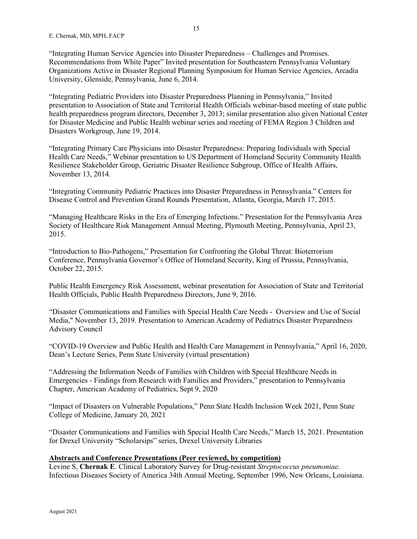"Integrating Human Service Agencies into Disaster Preparedness – Challenges and Promises. Recommendations from White Paper" Invited presentation for Southeastern Pennsylvania Voluntary Organizations Active in Disaster Regional Planning Symposium for Human Service Agencies, Arcadia University, Glenside, Pennsylvania, June 6, 2014.

"Integrating Pediatric Providers into Disaster Preparedness Planning in Pennsylvania," Invited presentation to Association of State and Territorial Health Officials webinar-based meeting of state public health preparedness program directors, December 3, 2013; similar presentation also given National Center for Disaster Medicine and Public Health webinar series and meeting of FEMA Region 3 Children and Disasters Workgroup, June 19, 2014.

"Integrating Primary Care Physicians into Disaster Preparedness: Preparing Individuals with Special Health Care Needs," Webinar presentation to US Department of Homeland Security Community Health Resilience Stakeholder Group, Geriatric Disaster Resilience Subgroup, Office of Health Affairs, November 13, 2014.

"Integrating Community Pediatric Practices into Disaster Preparedness in Pennsylvania." Centers for Disease Control and Prevention Grand Rounds Presentation, Atlanta, Georgia, March 17, 2015.

"Managing Healthcare Risks in the Era of Emerging Infections." Presentation for the Pennsylvania Area Society of Healthcare Risk Management Annual Meeting, Plymouth Meeting, Pennsylvania, April 23, 2015.

"Introduction to Bio-Pathogens," Presentation for Confronting the Global Threat: Bioterrorism Conference, Pennsylvania Governor's Office of Homeland Security, King of Prussia, Pennsylvania, October 22, 2015.

Public Health Emergency Risk Assessment, webinar presentation for Association of State and Territorial Health Officials, Public Health Preparedness Directors, June 9, 2016.

"Disaster Communications and Families with Special Health Care Needs - Overview and Use of Social Media," November 13, 2019. Presentation to American Academy of Pediatrics Disaster Preparedness Advisory Council

"COVID-19 Overview and Public Health and Health Care Management in Pennsylvania," April 16, 2020, Dean's Lecture Series, Penn State University (virtual presentation)

"Addressing the Information Needs of Families with Children with Special Healthcare Needs in Emergencies - Findings from Research with Families and Providers," presentation to Pennsylvania Chapter, American Academy of Pediatrics, Sept 9, 2020

"Impact of Disasters on Vulnerable Populations," Penn State Health Inclusion Week 2021, Penn State College of Medicine, January 20, 2021

"Disaster Communications and Families with Special Health Care Needs," March 15, 2021. Presentation for Drexel University "Scholarsips" series, Drexel University Libraries

# **Abstracts and Conference Presentations (Peer reviewed, by competition)**

Levine S, **Chernak E**. Clinical Laboratory Survey for Drug-resistant *Streptococcus pneumoniae*. Infectious Diseases Society of America 34th Annual Meeting, September 1996, New Orleans, Louisiana.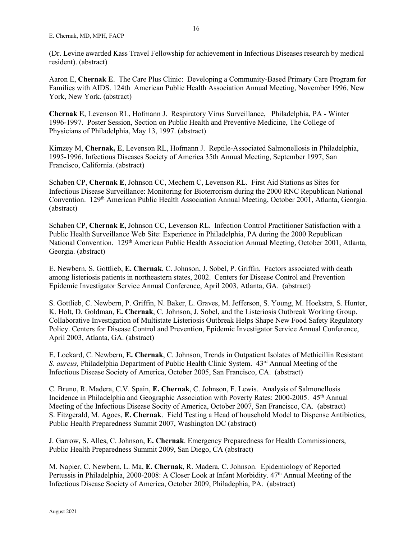(Dr. Levine awarded Kass Travel Fellowship for achievement in Infectious Diseases research by medical resident). (abstract)

Aaron E, **Chernak E**. The Care Plus Clinic: Developing a Community-Based Primary Care Program for Families with AIDS. 124th American Public Health Association Annual Meeting, November 1996, New York, New York. (abstract)

**Chernak E**, Levenson RL, Hofmann J. Respiratory Virus Surveillance, Philadelphia, PA - Winter 1996-1997. Poster Session, Section on Public Health and Preventive Medicine, The College of Physicians of Philadelphia, May 13, 1997. (abstract)

Kimzey M, **Chernak, E**, Levenson RL, Hofmann J. Reptile-Associated Salmonellosis in Philadelphia, 1995-1996. Infectious Diseases Society of America 35th Annual Meeting, September 1997, San Francisco, California. (abstract)

Schaben CP, **Chernak E**, Johnson CC, Mechem C, Levenson RL. First Aid Stations as Sites for Infectious Disease Surveillance: Monitoring for Bioterrorism during the 2000 RNC Republican National Convention. 129<sup>th</sup> American Public Health Association Annual Meeting, October 2001, Atlanta, Georgia. (abstract)

Schaben CP, **Chernak E,** Johnson CC, Levenson RL. Infection Control Practitioner Satisfaction with a Public Health Surveillance Web Site: Experience in Philadelphia, PA during the 2000 Republican National Convention. 129<sup>th</sup> American Public Health Association Annual Meeting, October 2001, Atlanta, Georgia. (abstract)

E. Newbern, S. Gottlieb, **E. Chernak**, C. Johnson, J. Sobel, P. Griffin. Factors associated with death among listeriosis patients in northeastern states, 2002. Centers for Disease Control and Prevention Epidemic Investigator Service Annual Conference, April 2003, Atlanta, GA. (abstract)

S. Gottlieb, C. Newbern, P. Griffin, N. Baker, L. Graves, M. Jefferson, S. Young, M. Hoekstra, S. Hunter, K. Holt, D. Goldman, **E. Chernak**, C. Johnson, J. Sobel, and the Listeriosis Outbreak Working Group. Collaborative Investigation of Multistate Listeriosis Outbreak Helps Shape New Food Safety Regulatory Policy. Centers for Disease Control and Prevention, Epidemic Investigator Service Annual Conference, April 2003, Atlanta, GA. (abstract)

E. Lockard, C. Newbern, **E. Chernak**, C. Johnson, Trends in Outpatient Isolates of Methicillin Resistant *S. aureus,* Philadelphia Department of Public Health Clinic System. 43<sup>rd</sup> Annual Meeting of the Infectious Disease Society of America, October 2005, San Francisco, CA. (abstract)

C. Bruno, R. Madera, C.V. Spain, **E. Chernak**, C. Johnson, F. Lewis. Analysis of Salmonellosis Incidence in Philadelphia and Geographic Association with Poverty Rates: 2000-2005. 45<sup>th</sup> Annual Meeting of the Infectious Disease Socity of America, October 2007, San Francisco, CA. (abstract) S. Fitzgerald, M. Agocs, **E. Chernak**. Field Testing a Head of household Model to Dispense Antibiotics, Public Health Preparedness Summit 2007, Washington DC (abstract)

J. Garrow, S. Alles, C. Johnson, **E. Chernak**. Emergency Preparedness for Health Commissioners, Public Health Preparedness Summit 2009, San Diego, CA (abstract)

M. Napier, C. Newbern, L. Ma, **E. Chernak**, R. Madera, C. Johnson. Epidemiology of Reported Pertussis in Philadelphia, 2000-2008: A Closer Look at Infant Morbidity.  $47<sup>th</sup>$  Annual Meeting of the Infectious Disease Society of America, October 2009, Philadephia, PA. (abstract)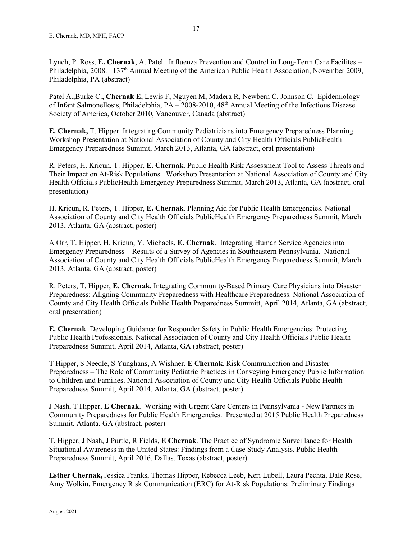Patel A.,Burke C., **Chernak E**, Lewis F, Nguyen M, Madera R, Newbern C, Johnson C. Epidemiology of Infant Salmonellosis, Philadelphia, PA – 2008-2010, 48th Annual Meeting of the Infectious Disease Society of America, October 2010, Vancouver, Canada (abstract)

**E. Chernak,** T. Hipper. Integrating Community Pediatricians into Emergency Preparedness Planning. Workshop Presentation at National Association of County and City Health Officials PublicHealth Emergency Preparedness Summit, March 2013, Atlanta, GA (abstract, oral presentation)

R. Peters, H. Kricun, T. Hipper, **E. Chernak**. Public Health Risk Assessment Tool to Assess Threats and Their Impact on At-Risk Populations. Workshop Presentation at National Association of County and City Health Officials PublicHealth Emergency Preparedness Summit, March 2013, Atlanta, GA (abstract, oral presentation)

H. Kricun, R. Peters, T. Hipper, **E. Chernak**. Planning Aid for Public Health Emergencies. National Association of County and City Health Officials PublicHealth Emergency Preparedness Summit, March 2013, Atlanta, GA (abstract, poster)

A Orr, T. Hipper, H. Kricun, Y. Michaels, **E. Chernak**. Integrating Human Service Agencies into Emergency Preparedness – Results of a Survey of Agencies in Southeastern Pennsylvania. National Association of County and City Health Officials PublicHealth Emergency Preparedness Summit, March 2013, Atlanta, GA (abstract, poster)

R. Peters, T. Hipper, **E. Chernak.** Integrating Community-Based Primary Care Physicians into Disaster Preparedness: Aligning Community Preparedness with Healthcare Preparedness. National Association of County and City Health Officials Public Health Preparedness Summitt, April 2014, Atlanta, GA (abstract; oral presentation)

**E. Chernak**. Developing Guidance for Responder Safety in Public Health Emergencies: Protecting Public Health Professionals. National Association of County and City Health Officials Public Health Preparedness Summit, April 2014, Atlanta, GA (abstract, poster)

T Hipper, S Needle, S Yunghans, A Wishner, **E Chernak**. Risk Communication and Disaster Preparedness – The Role of Community Pediatric Practices in Conveying Emergency Public Information to Children and Families. National Association of County and City Health Officials Public Health Preparedness Summit, April 2014, Atlanta, GA (abstract, poster)

J Nash, T Hipper, **E Chernak**. Working with Urgent Care Centers in Pennsylvania - New Partners in Community Preparedness for Public Health Emergencies. Presented at 2015 Public Health Preparedness Summit, Atlanta, GA (abstract, poster)

T. Hipper, J Nash, J Purtle, R Fields, **E Chernak**. The Practice of Syndromic Surveillance for Health Situational Awareness in the United States: Findings from a Case Study Analysis. Public Health Preparedness Summit, April 2016, Dallas, Texas (abstract, poster)

**Esther Chernak,** Jessica Franks, Thomas Hipper, Rebecca Leeb, Keri Lubell, Laura Pechta, Dale Rose, Amy Wolkin. Emergency Risk Communication (ERC) for At-Risk Populations: Preliminary Findings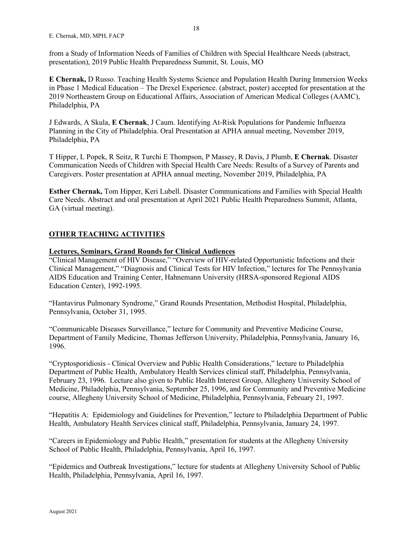from a Study of Information Needs of Families of Children with Special Healthcare Needs (abstract, presentation), 2019 Public Health Preparedness Summit, St. Louis, MO

**E Chernak,** D Russo. Teaching Health Systems Science and Population Health During Immersion Weeks in Phase 1 Medical Education – The Drexel Experience. (abstract, poster) accepted for presentation at the 2019 Northeastern Group on Educational Affairs, Association of American Medical Colleges (AAMC), Philadelphia, PA

J Edwards, A Skula, **E Chernak**, J Caum. Identifying At-Risk Populations for Pandemic Influenza Planning in the City of Philadelphia. Oral Presentation at APHA annual meeting, November 2019, Philadelphia, PA

T Hipper, L Popek, R Seitz, R Turchi E Thompson, P Massey, R Davis, J Plumb, **E Chernak**. Disaster Communication Needs of Children with Special Health Care Needs: Results of a Survey of Parents and Caregivers. Poster presentation at APHA annual meeting, November 2019, Philadelphia, PA

**Esther Chernak,** Tom Hipper, Keri Lubell. Disaster Communications and Families with Special Health Care Needs. Abstract and oral presentation at April 2021 Public Health Preparedness Summit, Atlanta, GA (virtual meeting).

## **OTHER TEACHING ACTIVITIES**

## **Lectures, Seminars, Grand Rounds for Clinical Audiences**

"Clinical Management of HIV Disease," "Overview of HIV-related Opportunistic Infections and their Clinical Management," "Diagnosis and Clinical Tests for HIV Infection," lectures for The Pennsylvania AIDS Education and Training Center, Hahnemann University (HRSA-sponsored Regional AIDS Education Center), 1992-1995.

"Hantavirus Pulmonary Syndrome," Grand Rounds Presentation, Methodist Hospital, Philadelphia, Pennsylvania, October 31, 1995.

"Communicable Diseases Surveillance," lecture for Community and Preventive Medicine Course, Department of Family Medicine, Thomas Jefferson University, Philadelphia, Pennsylvania, January 16, 1996.

"Cryptosporidiosis - Clinical Overview and Public Health Considerations," lecture to Philadelphia Department of Public Health, Ambulatory Health Services clinical staff, Philadelphia, Pennsylvania, February 23, 1996. Lecture also given to Public Health Interest Group, Allegheny University School of Medicine, Philadelphia, Pennsylvania, September 25, 1996, and for Community and Preventive Medicine course, Allegheny University School of Medicine, Philadelphia, Pennsylvania, February 21, 1997.

"Hepatitis A: Epidemiology and Guidelines for Prevention," lecture to Philadelphia Department of Public Health, Ambulatory Health Services clinical staff, Philadelphia, Pennsylvania, January 24, 1997.

"Careers in Epidemiology and Public Health," presentation for students at the Allegheny University School of Public Health, Philadelphia, Pennsylvania, April 16, 1997.

"Epidemics and Outbreak Investigations," lecture for students at Allegheny University School of Public Health, Philadelphia, Pennsylvania, April 16, 1997.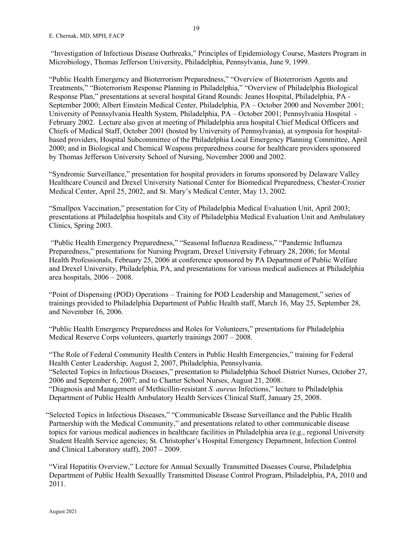"Investigation of Infectious Disease Outbreaks," Principles of Epidemiology Course, Masters Program in Microbiology, Thomas Jefferson University, Philadelphia, Pennsylvania, June 9, 1999.

"Public Health Emergency and Bioterrorism Preparedness," "Overview of Bioterrorism Agents and Treatments," "Bioterrorism Response Planning in Philadelphia," "Overview of Philadelphia Biological Response Plan," presentations at several hospital Grand Rounds: Jeanes Hospital, Philadelphia, PA - September 2000; Albert Einstein Medical Center, Philadelphia, PA – October 2000 and November 2001; University of Pennsylvania Health System, Philadelphia, PA – October 2001; Pennsylvania Hospital - February 2002. Lecture also given at meeting of Philadelphia area hospital Chief Medical Officers and Chiefs of Medical Staff, October 2001 (hosted by University of Pennsylvania), at symposia for hospitalbased providers, Hospital Subcommittee of the Philadelphia Local Emergency Planning Committee, April 2000; and in Biological and Chemical Weapons preparedness course for healthcare providers sponsored by Thomas Jefferson University School of Nursing, November 2000 and 2002.

"Syndromic Surveillance," presentation for hospital providers in forums sponsored by Delaware Valley Healthcare Council and Drexel University National Center for Biomedical Preparedness, Chester-Crozier Medical Center, April 25, 2002, and St. Mary's Medical Center, May 13, 2002.

"Smallpox Vaccination," presentation for City of Philadelphia Medical Evaluation Unit, April 2003; presentations at Philadelphia hospitals and City of Philadelphia Medical Evaluation Unit and Ambulatory Clinics, Spring 2003.

"Public Health Emergency Preparedness," "Seasonal Influenza Readiness," "Pandemic Influenza Preparedness," presentations for Nursing Program, Drexel University February 28, 2006; for Mental Health Professionals, February 25, 2006 at conference sponsored by PA Department of Public Welfare and Drexel University, Philadelphia, PA, and presentations for various medical audiences at Philadelphia area hospitals, 2006 – 2008.

"Point of Dispensing (POD) Operations – Training for POD Leadership and Management," series of trainings provided to Philadelphia Department of Public Health staff, March 16, May 25, September 28, and November 16, 2006.

"Public Health Emergency Preparedness and Roles for Volunteers," presentations for Philadelphia Medical Reserve Corps volunteers, quarterly trainings 2007 – 2008.

"The Role of Federal Community Health Centers in Public Health Emergencies," training for Federal Health Center Leadership, August 2, 2007, Philadelphia, Pennsylvania. "Selected Topics in Infectious Diseases," presentation to Philadelphia School District Nurses, October 27, 2006 and September 6, 2007; and to Charter School Nurses, August 21, 2008. "Diagnosis and Management of Methicillin-resistant *S. aureus* Infections," lecture to Philadelphia Department of Public Health Ambulatory Health Services Clinical Staff, January 25, 2008.

"Selected Topics in Infectious Diseases," "Communicable Disease Surveillance and the Public Health Partnership with the Medical Community," and presentations related to other communicable disease topics for various medical audiences in healthcare facilities in Philadelphia area (e.g., regional University Student Health Service agencies; St. Christopher's Hospital Emergency Department, Infection Control and Clinical Laboratory staff), 2007 – 2009.

"Viral Hepatitis Overview," Lecture for Annual Sexually Transmitted Diseases Course, Philadelphia Department of Public Health Sexuallly Transmitted Disease Control Program, Philadelphia, PA, 2010 and 2011.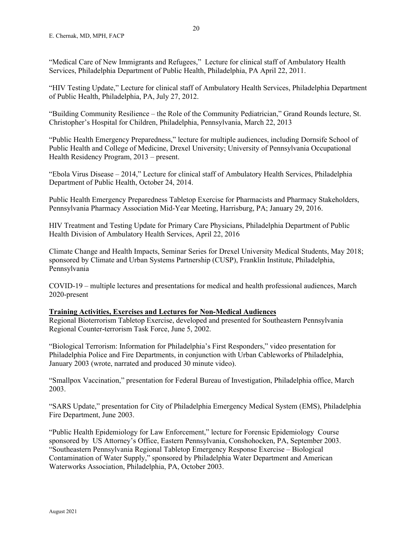"Medical Care of New Immigrants and Refugees," Lecture for clinical staff of Ambulatory Health Services, Philadelphia Department of Public Health, Philadelphia, PA April 22, 2011.

"HIV Testing Update," Lecture for clinical staff of Ambulatory Health Services, Philadelphia Department of Public Health, Philadelphia, PA, July 27, 2012.

"Building Community Resilience – the Role of the Community Pediatrician," Grand Rounds lecture, St. Christopher's Hospital for Children, Philadelphia, Pennsylvania, March 22, 2013

"Public Health Emergency Preparedness," lecture for multiple audiences, including Dornsife School of Public Health and College of Medicine, Drexel University; University of Pennsylvania Occupational Health Residency Program, 2013 – present.

"Ebola Virus Disease – 2014," Lecture for clinical staff of Ambulatory Health Services, Philadelphia Department of Public Health, October 24, 2014.

Public Health Emergency Preparedness Tabletop Exercise for Pharmacists and Pharmacy Stakeholders, Pennsylvania Pharmacy Association Mid-Year Meeting, Harrisburg, PA; January 29, 2016.

HIV Treatment and Testing Update for Primary Care Physicians, Philadelphia Department of Public Health Division of Ambulatory Health Services, April 22, 2016

Climate Change and Health Impacts, Seminar Series for Drexel University Medical Students, May 2018; sponsored by Climate and Urban Systems Partnership (CUSP), Franklin Institute, Philadelphia, Pennsylvania

COVID-19 – multiple lectures and presentations for medical and health professional audiences, March 2020-present

#### **Training Activities, Exercises and Lectures for Non-Medical Audiences**

Regional Bioterrorism Tabletop Exercise, developed and presented for Southeastern Pennsylvania Regional Counter-terrorism Task Force, June 5, 2002.

"Biological Terrorism: Information for Philadelphia's First Responders," video presentation for Philadelphia Police and Fire Departments, in conjunction with Urban Cableworks of Philadelphia, January 2003 (wrote, narrated and produced 30 minute video).

"Smallpox Vaccination," presentation for Federal Bureau of Investigation, Philadelphia office, March 2003.

"SARS Update," presentation for City of Philadelphia Emergency Medical System (EMS), Philadelphia Fire Department, June 2003.

"Public Health Epidemiology for Law Enforcement," lecture for Forensic Epidemiology Course sponsored by US Attorney's Office, Eastern Pennsylvania, Conshohocken, PA, September 2003. "Southeastern Pennsylvania Regional Tabletop Emergency Response Exercise – Biological Contamination of Water Supply," sponsored by Philadelphia Water Department and American Waterworks Association, Philadelphia, PA, October 2003.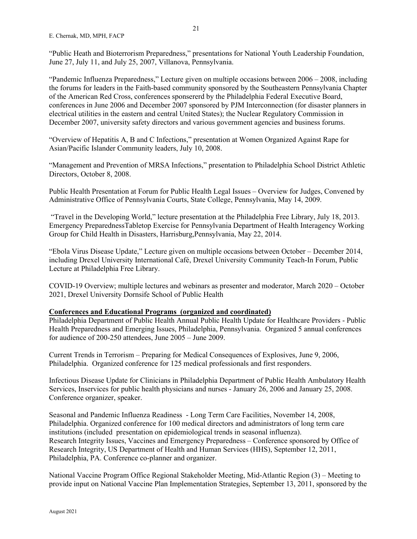"Public Heath and Bioterrorism Preparedness," presentations for National Youth Leadership Foundation, June 27, July 11, and July 25, 2007, Villanova, Pennsylvania.

"Pandemic Influenza Preparedness," Lecture given on multiple occasions between 2006 – 2008, including the forums for leaders in the Faith-based community sponsored by the Southeastern Pennsylvania Chapter of the American Red Cross, conferences sponsererd by the Philadelphia Federal Executive Board, conferences in June 2006 and December 2007 sponsored by PJM Interconnection (for disaster planners in electrical utilities in the eastern and central United States); the Nuclear Regulatory Commission in December 2007, university safety directors and various government agencies and business forums.

"Overview of Hepatitis A, B and C Infections," presentation at Women Organized Against Rape for Asian/Pacific Islander Community leaders, July 10, 2008.

"Management and Prevention of MRSA Infections," presentation to Philadelphia School District Athletic Directors, October 8, 2008.

Public Health Presentation at Forum for Public Health Legal Issues – Overview for Judges, Convened by Administrative Office of Pennsylvania Courts, State College, Pennsylvania, May 14, 2009.

"Travel in the Developing World," lecture presentation at the Philadelphia Free Library, July 18, 2013. Emergency PreparednessTabletop Exercise for Pennsylvania Department of Health Interagency Working Group for Child Health in Disasters, Harrisburg,Pennsylvania, May 22, 2014.

"Ebola Virus Disease Update," Lecture given on multiple occasions between October – December 2014, including Drexel University International Café, Drexel University Community Teach-In Forum, Public Lecture at Philadelphia Free Library.

COVID-19 Overview; multiple lectures and webinars as presenter and moderator, March 2020 – October 2021, Drexel University Dornsife School of Public Health

# **Conferences and Educational Programs (organized and coordinated)**

Philadelphia Department of Public Health Annual Public Health Update for Healthcare Providers - Public Health Preparedness and Emerging Issues, Philadelphia, Pennsylvania. Organized 5 annual conferences for audience of 200-250 attendees, June 2005 – June 2009.

Current Trends in Terrorism – Preparing for Medical Consequences of Explosives, June 9, 2006, Philadelphia. Organized conference for 125 medical professionals and first responders.

Infectious Disease Update for Clinicians in Philadelphia Department of Public Health Ambulatory Health Services, Inservices for public health physicians and nurses - January 26, 2006 and January 25, 2008. Conference organizer, speaker.

Seasonal and Pandemic Influenza Readiness - Long Term Care Facilities, November 14, 2008, Philadelphia. Organized conference for 100 medical directors and administrators of long term care institutions (included presentation on epidemiological trends in seasonal influenza). Research Integrity Issues, Vaccines and Emergency Preparedness – Conference sponsored by Office of Research Integrity, US Department of Health and Human Services (HHS), September 12, 2011, Philadelphia, PA. Conference co-planner and organizer.

National Vaccine Program Office Regional Stakeholder Meeting, Mid-Atlantic Region (3) – Meeting to provide input on National Vaccine Plan Implementation Strategies, September 13, 2011, sponsored by the